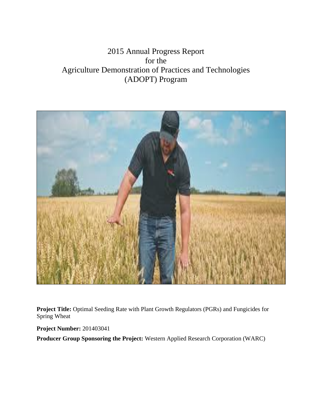# 2015 Annual Progress Report for the Agriculture Demonstration of Practices and Technologies (ADOPT) Program



**Project Title:** Optimal Seeding Rate with Plant Growth Regulators (PGRs) and Fungicides for Spring Wheat

**Project Number:** 201403041

**Producer Group Sponsoring the Project:** Western Applied Research Corporation (WARC)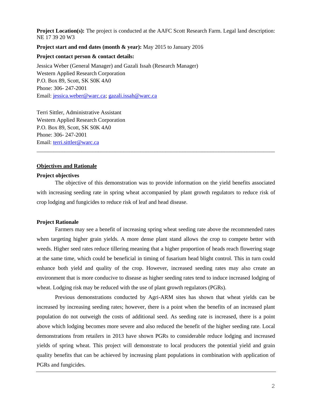**Project Location(s):** The project is conducted at the AAFC Scott Research Farm. Legal land description: NE 17 39 20 W3

**Project start and end dates (month & year):** May 2015 to January 2016

**Project contact person & contact details:** 

Jessica Weber (General Manager) and Gazali Issah (Research Manager) Western Applied Research Corporation P.O. Box 89, Scott, SK S0K 4A0 Phone: 306- 247-2001 Email: [jessica.weber@warc.ca;](mailto:jessica.weber@warc.ca) [gazali.issah@warc.ca](mailto:gazali.issah@warc.ca)

Terri Sittler, Administrative Assistant Western Applied Research Corporation P.O. Box 89, Scott, SK S0K 4A0 Phone: 306- 247-2001 Email: [terri.sittler@warc.ca](mailto:terri.sittler@warc.ca)

# **Objectives and Rationale**

## **Project objectives**

The objective of this demonstration was to provide information on the yield benefits associated with increasing seeding rate in spring wheat accompanied by plant growth regulators to reduce risk of crop lodging and fungicides to reduce risk of leaf and head disease.

\_\_\_\_\_\_\_\_\_\_\_\_\_\_\_\_\_\_\_\_\_\_\_\_\_\_\_\_\_\_\_\_\_\_\_\_\_\_\_\_\_\_\_\_\_\_\_\_\_\_\_\_\_\_\_\_\_\_\_\_\_\_\_\_\_\_\_\_\_\_\_\_\_\_\_\_\_\_\_\_\_\_\_\_\_

#### **Project Rationale**

Farmers may see a benefit of increasing spring wheat seeding rate above the recommended rates when targeting higher grain yields. A more dense plant stand allows the crop to compete better with weeds. Higher seed rates reduce tillering meaning that a higher proportion of heads reach flowering stage at the same time, which could be beneficial in timing of fusarium head blight control. This in turn could enhance both yield and quality of the crop. However, increased seeding rates may also create an environment that is more conducive to disease as higher seeding rates tend to induce increased lodging of wheat. Lodging risk may be reduced with the use of plant growth regulators (PGRs).

Previous demonstrations conducted by Agri-ARM sites has shown that wheat yields can be increased by increasing seeding rates; however, there is a point when the benefits of an increased plant population do not outweigh the costs of additional seed. As seeding rate is increased, there is a point above which lodging becomes more severe and also reduced the benefit of the higher seeding rate. Local demonstrations from retailers in 2013 have shown PGRs to considerable reduce lodging and increased yields of spring wheat. This project will demonstrate to local producers the potential yield and grain quality benefits that can be achieved by increasing plant populations in combination with application of PGRs and fungicides.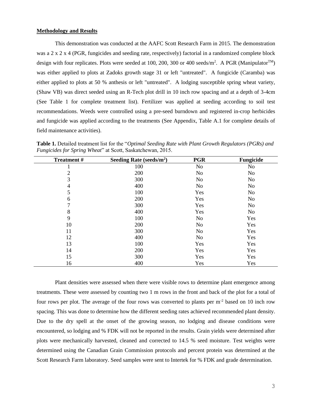# **Methodology and Results**

This demonstration was conducted at the AAFC Scott Research Farm in 2015. The demonstration was a 2 x 2 x 4 (PGR, fungicides and seeding rate, respectively) factorial in a randomized complete block design with four replicates. Plots were seeded at 100, 200, 300 or 400 seeds/m<sup>2</sup>. A PGR (Manipulator<sup>TM</sup>) was either applied to plots at Zadoks growth stage 31 or left "untreated". A fungicide (Caramba) was either applied to plots at 50 % anthesis or left "untreated". A lodging susceptible spring wheat variety, (Shaw VB) was direct seeded using an R-Tech plot drill in 10 inch row spacing and at a depth of 3-4cm (See Table 1 for complete treatment list). Fertilizer was applied at seeding according to soil test recommendations. Weeds were controlled using a pre-seed burndown and registered in-crop herbicides and fungicide was applied according to the treatments (See Appendix, Table A.1 for complete details of field maintenance activities).

**Table 1.** Detailed treatment list for the "*Optimal Seeding Rate with Plant Growth Regulators (PGRs) and Fungicides for Spring Wheat*" at Scott, Saskatchewan, 2015.

| <b>Treatment#</b> | Seeding Rate (seeds/ $m^2$ ) | <b>PGR</b>     | Fungicide      |
|-------------------|------------------------------|----------------|----------------|
|                   | 100                          | N <sub>o</sub> | No             |
| $\overline{c}$    | 200                          | N <sub>o</sub> | No             |
| 3                 | 300                          | N <sub>0</sub> | N <sub>0</sub> |
| $\overline{4}$    | 400                          | N <sub>o</sub> | No             |
| 5                 | 100                          | Yes            | No             |
| 6                 | 200                          | Yes            | No             |
| $\tau$            | 300                          | Yes            | <b>No</b>      |
| 8                 | 400                          | Yes            | No             |
| 9                 | 100                          | N <sub>o</sub> | Yes            |
| 10                | 200                          | N <sub>o</sub> | Yes            |
| 11                | 300                          | N <sub>o</sub> | Yes            |
| 12                | 400                          | N <sub>o</sub> | Yes            |
| 13                | 100                          | Yes            | Yes            |
| 14                | 200                          | Yes            | Yes            |
| 15                | 300                          | Yes            | Yes            |
| 16                | 400                          | Yes            | Yes            |

Plant densities were assessed when there were visible rows to determine plant emergence among treatments. These were assessed by counting two 1 m rows in the front and back of the plot for a total of four rows per plot. The average of the four rows was converted to plants per  $m<sup>2</sup>$  based on 10 inch row spacing. This was done to determine how the different seeding rates achieved recommended plant density. Due to the dry spell at the onset of the growing season, no lodging and disease conditions were encountered, so lodging and % FDK will not be reported in the results. Grain yields were determined after plots were mechanically harvested, cleaned and corrected to 14.5 % seed moisture. Test weights were determined using the Canadian Grain Commission protocols and percent protein was determined at the Scott Research Farm laboratory. Seed samples were sent to Intertek for % FDK and grade determination.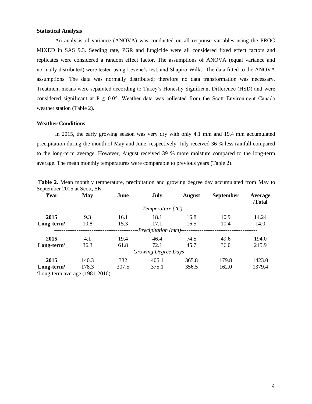# **Statistical Analysis**

An analysis of variance (ANOVA) was conducted on all response variables using the PROC MIXED in SAS 9.3. Seeding rate, PGR and fungicide were all considered fixed effect factors and replicates were considered a random effect factor. The assumptions of ANOVA (equal variance and normally distributed) were tested using Levene's test, and Shapiro-Wilks. The data fitted to the ANOVA assumptions. The data was normally distributed; therefore no data transformation was necessary. Treatment means were separated according to Tukey's Honestly Significant Difference (HSD) and were considered significant at  $P \le 0.05$ . Weather data was collected from the Scott Environment Canada weather station (Table 2).

# **Weather Conditions**

In 2015, the early growing season was very dry with only 4.1 mm and 19.4 mm accumulated precipitation during the month of May and June, respectively. July received 36 % less rainfall compared to the long-term average. However, August received 39 % more moisture compared to the long-term average. The mean monthly temperatures were comparable to previous years (Table 2).

| $\mathcal{L}$                                               |       |       |                     |               |                  |         |  |
|-------------------------------------------------------------|-------|-------|---------------------|---------------|------------------|---------|--|
| Year                                                        | May   | June  | July                | <b>August</b> | <b>September</b> | Average |  |
|                                                             |       |       |                     |               |                  | /Total  |  |
|                                                             |       |       | -Temperature (°C)-- |               |                  |         |  |
| 2015                                                        | 9.3   | 16.1  | 18.1                | 16.8          | 10.9             | 14.24   |  |
| $Long-termz$                                                | 10.8  | 15.3  | 17.1                | 16.5          | 10.4             | 14.0    |  |
| -Precipitation (mm)------                                   |       |       |                     |               |                  |         |  |
| 2015                                                        | 4.1   | 19.4  | 46.4                | 74.5          | 49.6             | 194.0   |  |
| $Long-termz$                                                | 36.3  | 61.8  | 72.1                | 45.7          | 36.0             | 215.9   |  |
| -Growing Degree Days--                                      |       |       |                     |               |                  |         |  |
| 2015                                                        | 140.3 | 332   | 405.1               | 365.8         | 179.8            | 1423.0  |  |
| $Long-termz$                                                | 178.3 | 307.5 | 375.1               | 356.5         | 162.0            | 1379.4  |  |
| $\frac{\text{ZI}}{\text{QH}}$ and terms exempts (1001.0010) |       |       |                     |               |                  |         |  |

**Table 2.** Mean monthly temperature, precipitation and growing degree day accumulated from May to September 2015 at Scott, SK

Long-term average (1981-2010)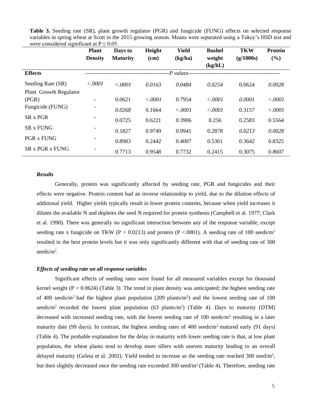|                        | <b>Plant</b><br><b>Density</b> | Days to<br><b>Maturity</b> | Height<br>(cm) | <b>Yield</b><br>(kg/ha) | <b>Bushel</b><br>weight | <b>TKW</b><br>(g/1000s) | Protein<br>(%) |
|------------------------|--------------------------------|----------------------------|----------------|-------------------------|-------------------------|-------------------------|----------------|
|                        |                                |                            |                |                         | (kg/hL)                 |                         |                |
| <b>Effects</b>         |                                |                            |                | -P values-              |                         |                         |                |
| Seeding Rate (SR)      | < .0001                        | < .0001                    | 0.0163         | 0.0484                  | 0.0254                  | 0.0624                  | 0.0028         |
| Plant Growth Regulator |                                |                            |                |                         |                         |                         |                |
| (PGR)                  | -                              | 0.0621                     | < .0001        | 0.7954                  | < .0001                 | 0.0001                  | < .0001        |
| Fungicide (FUNG)       |                                | 0.0268                     | 0.1664         | < .0001                 | < .0001                 | 0.3157                  | < .0001        |
| <b>SR x PGR</b>        |                                | 0.0725                     | 0.6221         | 0.3906                  | 0.256                   | 0.2583                  | 0.5564         |
| <b>SR x FUNG</b>       |                                | 0.1827                     | 0.9749         | 0.9941                  | 0.2878                  | 0.0213                  | 0.0028         |
| <b>PGR x FUNG</b>      |                                | 0.8983                     | 0.2442         | 0.4007                  | 0.5361                  | 0.3642                  | 0.8325         |
| <b>SR x PGR x FUNG</b> |                                | 0.7713                     | 0.9548         | 0.7732                  | 0.2415                  | 0.3075                  | 0.8607         |

**Table 3.** Seeding rate (SR), plant growth regulator (PGR) and fungicide (FUNG) effects on selected response variables in spring wheat at Scott in the 2015 growing season. Means were separated using a Tukey's HSD test and were considered significant at  $P \le 0.05$ .

## *Results*

Generally, protein was significantly affected by seeding rate, PGR and fungicides and their effects were negative. Protein content had an inverse relationship to yield, due to the dilution effects of additional yield. Higher yields typically result in lower protein contents, because when yield increases it dilutes the available N and depletes the seed N required for protein synthesis (Campbell et al. 1977; Clark et al. 1990). There was generally no significant interaction between any of the response variable, except seeding rate x fungicide on TKW (P = 0.0213) and protein (P < 0.001). A seeding rate of 100 seeds/m<sup>2</sup> resulted in the best protein levels but it was only significantly different with that of seeding rate of 300 seeds/ $m^2$ .

## *Effects of seeding rate on all response variables*

Significant effects of seeding rates were found for all measured variables except for thousand kernel weight ( $P = 0.0624$ ) (Table 3). The trend in plant density was anticipated; the highest seeding rate of 400 seeds/ $m<sup>2</sup>$  had the highest plant population (209 plants/ $m<sup>2</sup>$ ) and the lowest seeding rate of 100 seeds/m<sup>2</sup> recorded the lowest plant population (63 plants/m<sup>2</sup>) (Table 4). Days to maturity (DTM) decreased with increased seeding rate, with the lowest seeding rate of 100 seeds/m<sup>2</sup> resulting in a later maturity date (99 days). In contrast, the highest seeding rates of 400 seeds/ $m<sup>2</sup>$  matured early (91 days) (Table 4). The probable explanation for the delay in maturity with lower seeding rate is that, at low plant population, the wheat plants tend to develop more tillers with uneven maturity leading to an overall delayed maturity (Geleta et al. 2002). Yield tended to increase as the seeding rate reached 300 seed/m<sup>2</sup>, but then slightly decreased once the seeding rate exceeded  $300 \text{ seed/m}^2$  (Table 4). Therefore, seeding rate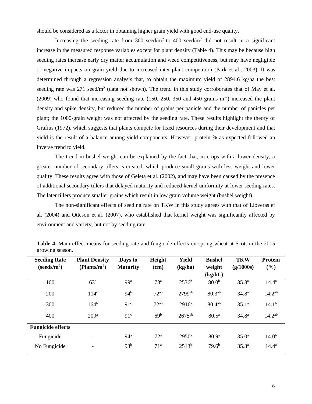should be considered as a factor in obtaining higher grain yield with good end-use quality.

Increasing the seeding rate from 300 seed/m<sup>2</sup> to 400 seed/m<sup>2</sup> did not result in a significant increase in the measured response variables except for plant density (Table 4). This may be because high seeding rates increase early dry matter accumulation and weed competitiveness, but may have negligible or negative impacts on grain yield due to increased inter-plant competition (Park et al., 2003). It was determined through a regression analysis that, to obtain the maximum yield of 2894.6 kg/ha the best seeding rate was  $271$  seed/m<sup>2</sup> (data not shown). The trend in this study corroborates that of May et al. (2009) who found that increasing seeding rate (150, 250, 350 and 450 grains m-2 ) increased the plant density and spike density, but reduced the number of grains per panicle and the number of panicles per plant; the 1000-grain weight was not affected by the seeding rate. These results highlight the theory of Grafius (1972), which suggests that plants compete for fixed resources during their development and that yield is the result of a balance among yield components. However, protein % as expected followed an inverse trend to yield.

The trend in bushel weight can be explained by the fact that, in crops with a lower density, a greater number of secondary tillers is created, which produce small grains with less weight and lower quality. These results agree with those of Geleta et al. (2002), and may have been caused by the presence of additional secondary tillers that delayed maturity and reduced kernel uniformity at lower seeding rates. The later tillers produce smaller grains which result in low grain volume weight (bushel weight).

The non-significant effects of seeding rate on TKW in this study agrees with that of Lloveras et al. (2004) and Otteson et al. (2007), who established that kernel weight was significantly affected by environment and variety, but not by seeding rate.

| <b>Seeding Rate</b>               | <b>Plant Density</b>     | Days to         | Height          | <b>Yield</b>         | <b>Bushel</b>      | <b>TKW</b>        | <b>Protein</b>    |
|-----------------------------------|--------------------------|-----------------|-----------------|----------------------|--------------------|-------------------|-------------------|
| (s <sub>eeds/m<sup>2</sup>)</sub> | (Plants/m <sup>2</sup> ) | <b>Maturity</b> | (cm)            | (kg/ha)              | weight<br>(kg/hL)  | (g/1000s)         | (%)               |
| 100                               | 63 <sup>d</sup>          | 99 <sup>a</sup> | 73 <sup>a</sup> | $2536^b$             | 80.0 <sup>b</sup>  | $35.8^{a}$        | $14.4^{\rm a}$    |
| 200                               | 114 <sup>c</sup>         | 94 <sup>b</sup> | $72^{ab}$       | $2799$ <sup>ab</sup> | 80.3 <sup>ab</sup> | 34.8 <sup>a</sup> | $14.2^{ab}$       |
| 300                               | 164 <sup>b</sup>         | 91 <sup>c</sup> | $72^{ab}$       | $2916^a$             | $80.4^{ab}$        | 35.1 <sup>a</sup> | $14.1^{b}$        |
| 400                               | 209 <sup>a</sup>         | 91 <sup>c</sup> | 69 <sup>b</sup> | $2675$ <sup>ab</sup> | $80.5^{\circ}$     | 34.8 <sup>a</sup> | $14.2^{ab}$       |
| <b>Fungicide effects</b>          |                          |                 |                 |                      |                    |                   |                   |
| Fungicide                         |                          | 94 <sup>a</sup> | 72 <sup>a</sup> | $2950^{\rm a}$       | 80.9 <sup>a</sup>  | 35.0 <sup>a</sup> | 14.0 <sup>b</sup> |
| No Fungicide                      | -                        | 93 <sup>b</sup> | 71 <sup>a</sup> | $2513^{b}$           | 79.6 <sup>b</sup>  | $35.3^{a}$        | $14.4^{\rm a}$    |

**Table 4.** Main effect means for seeding rate and fungicide effects on spring wheat at Scott in the 2015 growing season.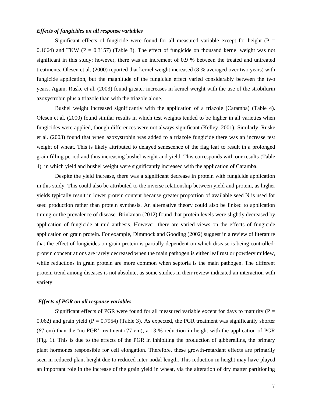#### *Effects of fungicides on all response variables*

Significant effects of fungicide were found for all measured variable except for height ( $P =$ 0.1664) and TKW ( $P = 0.3157$ ) (Table 3). The effect of fungicide on thousand kernel weight was not significant in this study; however, there was an increment of 0.9 % between the treated and untreated treatments. Olesen et al. (2000) reported that kernel weight increased (8 % averaged over two years) with fungicide application, but the magnitude of the fungicide effect varied considerably between the two years. Again, Ruske et al. (2003) found greater increases in kernel weight with the use of the strobilurin azoxystrobin plus a triazole than with the triazole alone.

Bushel weight increased significantly with the application of a triazole (Caramba) (Table 4). Olesen et al. (2000) found similar results in which test weights tended to be higher in all varieties when fungicides were applied, though differences were not always significant (Kelley, 2001). Similarly, Ruske et al. (2003) found that when azoxystrobin was added to a triazole fungicide there was an increase test weight of wheat. This is likely attributed to delayed senescence of the flag leaf to result in a prolonged grain filling period and thus increasing bushel weight and yield. This corresponds with our results (Table 4), in which yield and bushel weight were significantly increased with the application of Caramba.

Despite the yield increase, there was a significant decrease in protein with fungicide application in this study. This could also be attributed to the inverse relationship between yield and protein, as higher yields typically result in lower protein content because greater proportion of available seed N is used for seed production rather than protein synthesis. An alternative theory could also be linked to application timing or the prevalence of disease. Brinkman (2012) found that protein levels were slightly decreased by application of fungicide at mid anthesis. However, there are varied views on the effects of fungicide application on grain protein. For example, Dimmock and Gooding (2002) suggest in a review of literature that the effect of fungicides on grain protein is partially dependent on which disease is being controlled: protein concentrations are rarely decreased when the main pathogen is either leaf rust or powdery mildew, while reductions in grain protein are more common when septoria is the main pathogen. The different protein trend among diseases is not absolute, as some studies in their review indicated an interaction with variety.

#### *Effects of PGR on all response variables*

Significant effects of PGR were found for all measured variable except for days to maturity ( $P =$ 0.062) and grain yield (P = 0.7954) (Table 3). As expected, the PGR treatment was significantly shorter (67 cm) than the 'no PGR' treatment (77 cm), a 13 % reduction in height with the application of PGR (Fig. 1). This is due to the effects of the PGR in inhibiting the production of gibberellins, the primary plant hormones responsible for cell elongation. Therefore, these growth-retardant effects are primarily seen in reduced plant height due to reduced inter-nodal length. This reduction in height may have played an important role in the increase of the grain yield in wheat, via the alteration of dry matter partitioning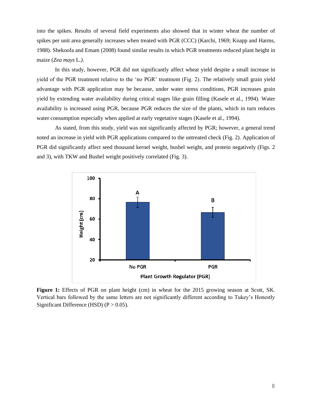into the spikes. Results of several field experiments also showed that in winter wheat the number of spikes per unit area generally increases when treated with PGR (CCC) (Karchi, 1969; Knapp and Harms, 1988). Shekoofa and Emam (2008) found similar results in which PGR treatments reduced plant height in maize (*Zea mays* L*.)*.

In this study, however, PGR did not significantly affect wheat yield despite a small increase in yield of the PGR treatment relative to the 'no PGR' treatment (Fig. 2). The relatively small grain yield advantage with PGR application may be because, under water stress conditions, PGR increases grain yield by extending water availability during critical stages like grain filling (Kasele et al., 1994). Water availability is increased using PGR, because PGR reduces the size of the plants, which in turn reduces water consumption especially when applied at early vegetative stages (Kasele et al., 1994).

As stated, from this study, yield was not significantly affected by PGR; however, a general trend noted an increase in yield with PGR applications compared to the untreated check (Fig. 2). Application of PGR did significantly affect seed thousand kernel weight, bushel weight, and protein negatively (Figs. 2 and 3), with TKW and Bushel weight positively correlated (Fig. 3).



**Figure 1:** Effects of PGR on plant height (cm) in wheat for the 2015 growing season at Scott, SK. Vertical bars followed by the same letters are not significantly different according to Tukey's Honestly Significant Difference (HSD)  $(P > 0.05)$ .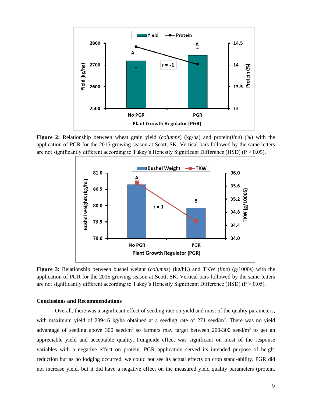

**Figure 2:** Relationship between wheat grain yield (*columns*) (kg/ha) and protein(*line*) (%) with the application of PGR for the 2015 growing season at Scott, SK. Vertical bars followed by the same letters are not significantly different according to Tukey's Honestly Significant Difference (HSD) ( $P > 0.05$ ).



**Figure 3:** Relationship between bushel weight (*columns*) (kg/hL) and TKW (*line*) (g/1000s) with the application of PGR for the 2015 growing season at Scott, SK. Vertical bars followed by the same letters are not significantly different according to Tukey's Honestly Significant Difference (HSD) ( $P > 0.05$ ).

## **Conclusions and Recommendations**

Overall, there was a significant effect of seeding rate on yield and most of the quality parameters, with maximum yield of 2894.6 kg/ha obtained at a seeding rate of 271 seed/m<sup>2</sup>. There was no yield advantage of seeding above 300 seed/m<sup>2</sup> so farmers may target between 200-300 seed/m<sup>2</sup> to get an appreciable yield and acceptable quality. Fungicide effect was significant on most of the response variables with a negative effect on protein. PGR application served its intended purpose of height reduction but as no lodging occurred, we could not see its actual effects on crop stand-ability. PGR did not increase yield, but it did have a negative effect on the measured yield quality parameters (protein,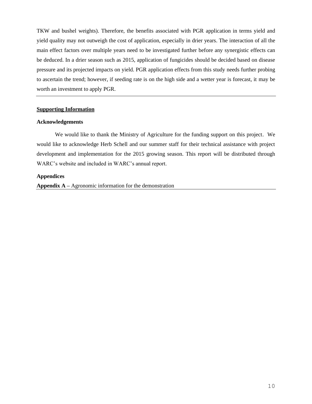TKW and bushel weights). Therefore, the benefits associated with PGR application in terms yield and yield quality may not outweigh the cost of application, especially in drier years. The interaction of all the main effect factors over multiple years need to be investigated further before any synergistic effects can be deduced. In a drier season such as 2015, application of fungicides should be decided based on disease pressure and its projected impacts on yield. PGR application effects from this study needs further probing to ascertain the trend; however, if seeding rate is on the high side and a wetter year is forecast, it may be worth an investment to apply PGR.

# **Supporting Information**

# **Acknowledgements**

We would like to thank the Ministry of Agriculture for the funding support on this project. We would like to acknowledge Herb Schell and our summer staff for their technical assistance with project development and implementation for the 2015 growing season. This report will be distributed through WARC's website and included in WARC's annual report.

# **Appendices**

**Appendix A –** Agronomic information for the demonstration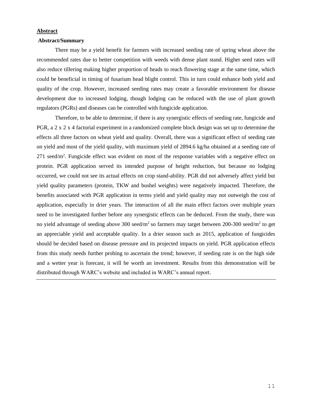## **Abstract**

## **Abstract/Summary**

There may be a yield benefit for farmers with increased seeding rate of spring wheat above the recommended rates due to better competition with weeds with dense plant stand. Higher seed rates will also reduce tillering making higher proportion of heads to reach flowering stage at the same time, which could be beneficial in timing of fusarium head blight control. This in turn could enhance both yield and quality of the crop. However, increased seeding rates may create a favorable environment for disease development due to increased lodging, though lodging can be reduced with the use of plant growth regulators (PGRs) and diseases can be controlled with fungicide application.

Therefore, to be able to determine, if there is any synergistic effects of seeding rate, fungicide and PGR, a 2 x 2 x 4 factorial experiment in a randomized complete block design was set up to determine the effects all three factors on wheat yield and quality. Overall, there was a significant effect of seeding rate on yield and most of the yield quality, with maximum yield of 2894.6 kg/ha obtained at a seeding rate of 271 seed/m<sup>2</sup>. Fungicide effect was evident on most of the response variables with a negative effect on protein. PGR application served its intended purpose of height reduction, but because no lodging occurred, we could not see its actual effects on crop stand-ability. PGR did not adversely affect yield but yield quality parameters (protein, TKW and bushel weights) were negatively impacted. Therefore, the benefits associated with PGR application in terms yield and yield quality may not outweigh the cost of application, especially in drier years. The interaction of all the main effect factors over multiple years need to be investigated further before any synergistic effects can be deduced. From the study, there was no yield advantage of seeding above 300 seed/ $m^2$  so farmers may target between 200-300 seed/ $m^2$  to get an appreciable yield and acceptable quality. In a drier season such as 2015, application of fungicides should be decided based on disease pressure and its projected impacts on yield. PGR application effects from this study needs further probing to ascertain the trend; however, if seeding rate is on the high side and a wetter year is forecast, it will be worth an investment. Results from this demonstration will be distributed through WARC's website and included in WARC's annual report.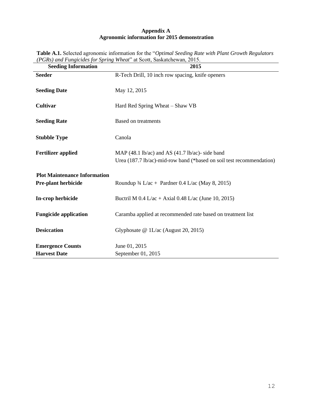# **Appendix A Agronomic information for 2015 demonstration**

| <b>Seeding Information</b>                                        | $\mu$ Ors) and Fangicials for spring when an Scott, Saskatchewall, 2019.<br>2015                                                             |
|-------------------------------------------------------------------|----------------------------------------------------------------------------------------------------------------------------------------------|
| <b>Seeder</b>                                                     | R-Tech Drill, 10 inch row spacing, knife openers                                                                                             |
| <b>Seeding Date</b>                                               | May 12, 2015                                                                                                                                 |
| <b>Cultivar</b>                                                   | Hard Red Spring Wheat – Shaw VB                                                                                                              |
| <b>Seeding Rate</b>                                               | <b>Based on treatments</b>                                                                                                                   |
| <b>Stubble Type</b>                                               | Canola                                                                                                                                       |
| <b>Fertilizer applied</b>                                         | MAP $(48.1 \text{ lb/ac})$ and AS $(41.7 \text{ lb/ac})$ - side band<br>Urea (187.7 lb/ac)-mid-row band (*based on soil test recommendation) |
| <b>Plot Maintenance Information</b><br><b>Pre-plant herbicide</b> | Roundup $\frac{3}{4}$ L/ac + Pardner 0.4 L/ac (May 8, 2015)                                                                                  |
| In-crop herbicide                                                 | Buctril M $0.4$ L/ac + Axial 0.48 L/ac (June 10, 2015)                                                                                       |
| <b>Fungicide application</b>                                      | Caramba applied at recommended rate based on treatment list                                                                                  |
| <b>Desiccation</b>                                                | Glyphosate $@1L/ac$ (August 20, 2015)                                                                                                        |
| <b>Emergence Counts</b><br><b>Harvest Date</b>                    | June 01, 2015<br>September 01, 2015                                                                                                          |

**Table A.1.** Selected agronomic information for the "*Optimal Seeding Rate with Plant Growth Regulators (PGRs) and Fungicides for Spring Wheat*" at Scott, Saskatchewan, 2015.